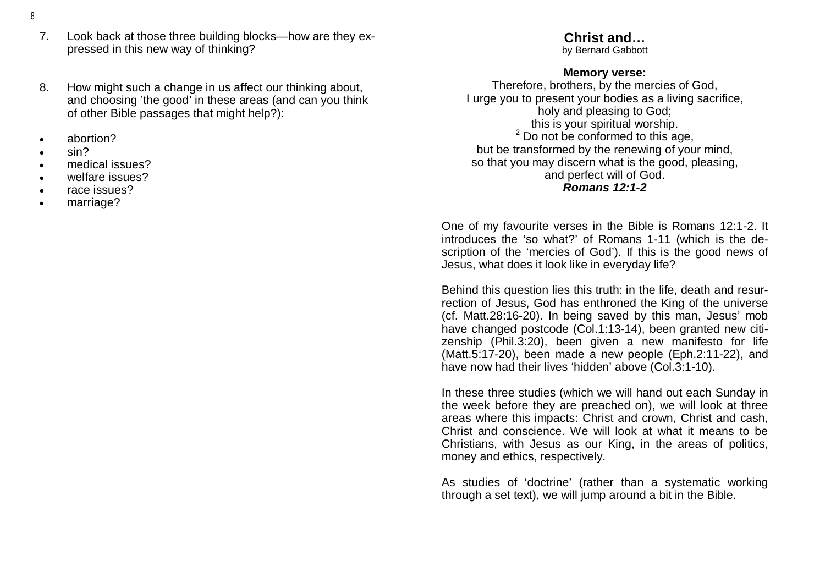- 8
	- 7. Look back at those three building blocks—how are they expressed in this new way of thinking?
	- 8. How might such a change in us affect our thinking about, and choosing 'the good' in these areas (and can you think of other Bible passages that might help?):
	- abortion?
	- sin?
	- medical issues?
	- welfare issues?
	- race issues?
	- marriage?

# **Christ and…**

by Bernard Gabbott

## **Memory verse:**

Therefore, brothers, by the mercies of God, I urge you to present your bodies as a living sacrifice, holy and pleasing to God; this is your spiritual worship. <sup>2</sup> Do not be conformed to this age, but be transformed by the renewing of your mind, so that you may discern what is the good, pleasing, and perfect will of God. *Romans 12:1-2* 

One of my favourite verses in the Bible is Romans 12:1-2. It introduces the 'so what?' of Romans 1-11 (which is the description of the 'mercies of God'). If this is the good news of Jesus, what does it look like in everyday life?

Behind this question lies this truth: in the life, death and resurrection of Jesus, God has enthroned the King of the universe (cf. Matt.28:16-20). In being saved by this man, Jesus' mob have changed postcode (Col.1:13-14), been granted new citizenship (Phil.3:20), been given a new manifesto for life (Matt.5:17-20), been made a new people (Eph.2:11-22), and have now had their lives 'hidden' above (Col.3:1-10).

In these three studies (which we will hand out each Sunday in the week before they are preached on), we will look at three areas where this impacts: Christ and crown, Christ and cash, Christ and conscience. We will look at what it means to be Christians, with Jesus as our King, in the areas of politics, money and ethics, respectively.

As studies of 'doctrine' (rather than a systematic working through a set text), we will jump around a bit in the Bible.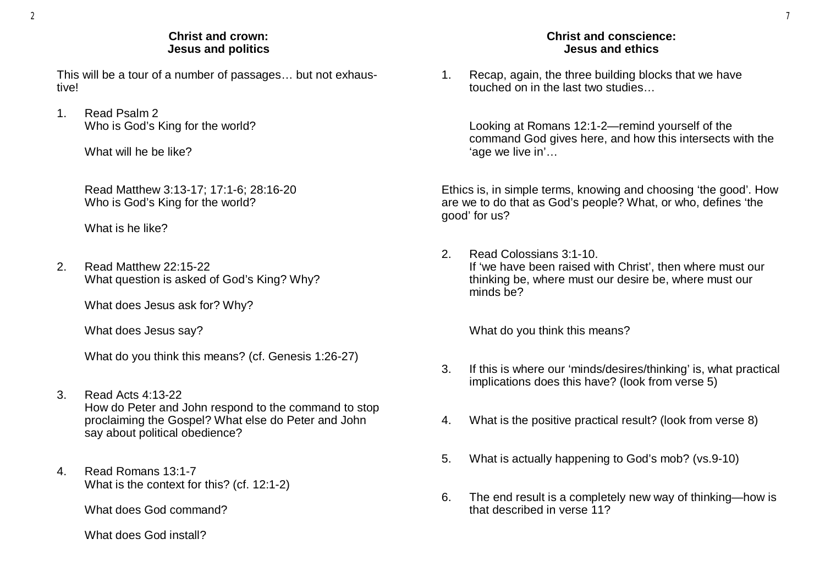#### **Christ and crown: Jesus and politics**

This will be a tour of a number of passages… but not exhaustive!

1. Read Psalm 2 Who is God's King for the world?

What will he be like?

Read Matthew 3:13-17; 17:1-6; 28:16-20 Who is God's King for the world?

What is he like?

2. Read Matthew 22:15-22 What question is asked of God's King? Why?

What does Jesus ask for? Why?

What does Jesus say?

What do you think this means? (cf. Genesis 1:26-27)

- 3. Read Acts 4:13-22 How do Peter and John respond to the command to stop proclaiming the Gospel? What else do Peter and John say about political obedience?
- 4. Read Romans 13:1-7 What is the context for this? (cf. 12:1-2)

What does God command?

What does God install?

### **Christ and conscience: Jesus and ethics**

1. Recap, again, the three building blocks that we have touched on in the last two studies…

Looking at Romans 12:1-2—remind yourself of the command God gives here, and how this intersects with the 'age we live in'…

Ethics is, in simple terms, knowing and choosing 'the good'. How are we to do that as God's people? What, or who, defines 'the good' for us?

2. Read Colossians 3:1-10. If 'we have been raised with Christ', then where must our thinking be, where must our desire be, where must our minds be?

What do you think this means?

- 3. If this is where our 'minds/desires/thinking' is, what practical implications does this have? (look from verse 5)
- 4. What is the positive practical result? (look from verse 8)
- 5. What is actually happening to God's mob? (vs.9-10)
- 6. The end result is a completely new way of thinking—how is that described in verse 11?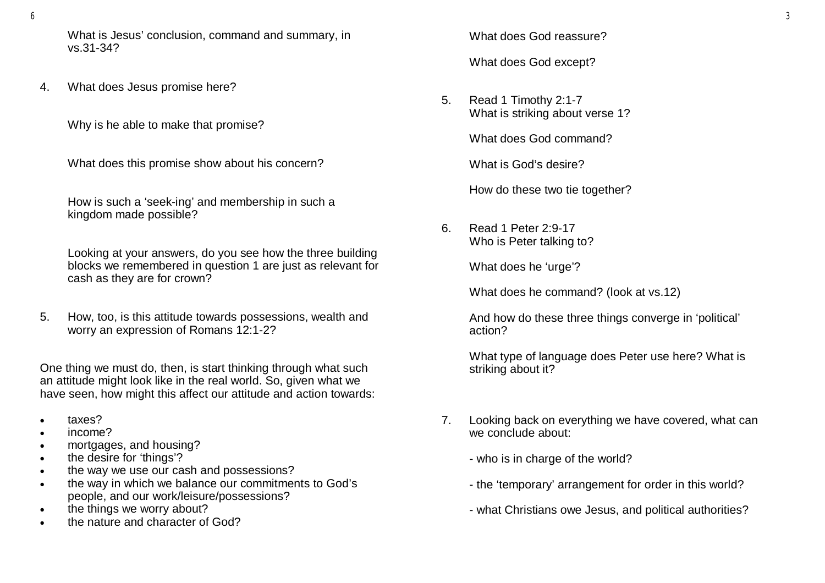What is Jesus' conclusion, command and summary, in vs.31-34?

4. What does Jesus promise here?

Why is he able to make that promise?

What does this promise show about his concern?

How is such a 'seek-ing' and membership in such a kingdom made possible?

Looking at your answers, do you see how the three building blocks we remembered in question 1 are just as relevant for cash as they are for crown?

5. How, too, is this attitude towards possessions, wealth and worry an expression of Romans 12:1-2?

One thing we must do, then, is start thinking through what such an attitude might look like in the real world. So, given what we have seen, how might this affect our attitude and action towards:

- taxes?
- income?
- mortgages, and housing?
- the desire for 'things'?
- the way we use our cash and possessions?
- the way in which we balance our commitments to God's people, and our work/leisure/possessions?
- the things we worry about?
- the nature and character of God?

What does God reassure?

What does God except?

5. Read 1 Timothy 2:1-7 What is striking about verse 1?

What does God command?

What is God's desire?

How do these two tie together?

6. Read 1 Peter 2:9-17 Who is Peter talking to?

What does he 'urge'?

What does he command? (look at vs.12)

And how do these three things converge in 'political' action?

What type of language does Peter use here? What is striking about it?

- 7. Looking back on everything we have covered, what can we conclude about:
	- who is in charge of the world?
	- the 'temporary' arrangement for order in this world?
	- what Christians owe Jesus, and political authorities?